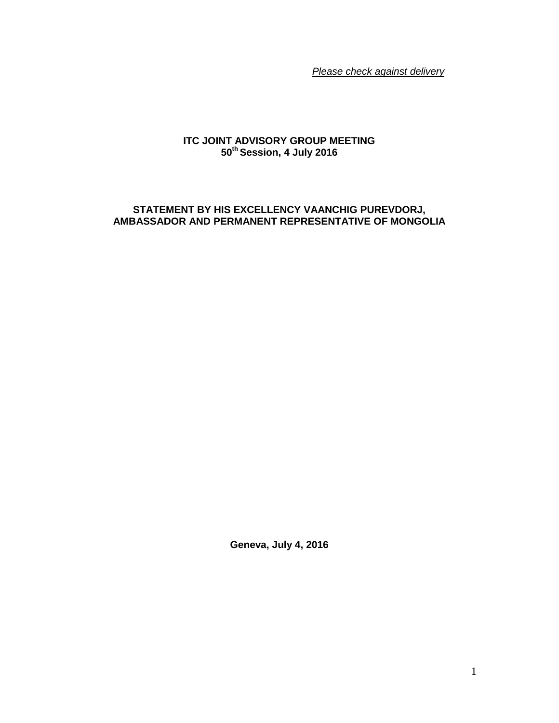*Please check against delivery*

## **ITC JOINT ADVISORY GROUP MEETING 50 th Session, 4 July 2016**

## **STATEMENT BY HIS EXCELLENCY VAANCHIG PUREVDORJ, AMBASSADOR AND PERMANENT REPRESENTATIVE OF MONGOLIA**

**Geneva, July 4, 2016**

1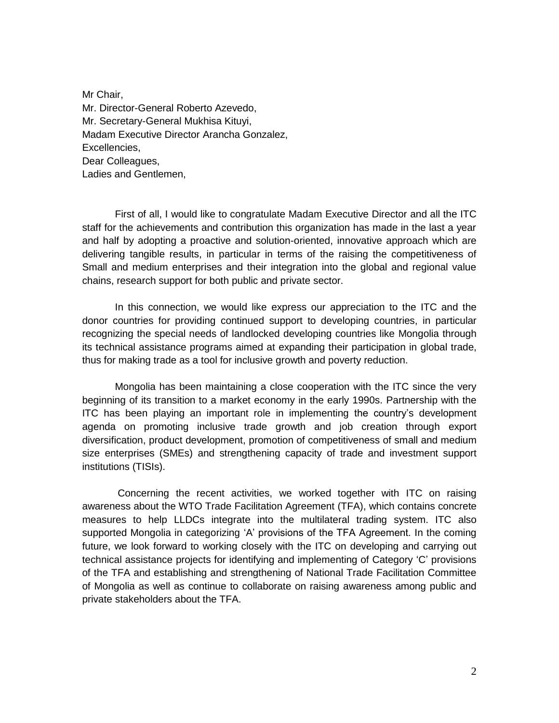Mr Chair, Mr. Director-General Roberto Azevedo, Mr. Secretary-General Mukhisa Kituyi, Madam Executive Director Arancha Gonzalez, Excellencies, Dear Colleagues, Ladies and Gentlemen,

First of all, I would like to congratulate Madam Executive Director and all the ITC staff for the achievements and contribution this organization has made in the last a year and half by adopting a proactive and solution-oriented, innovative approach which are delivering tangible results, in particular in terms of the raising the competitiveness of Small and medium enterprises and their integration into the global and regional value chains, research support for both public and private sector.

In this connection, we would like express our appreciation to the ITC and the donor countries for providing continued support to developing countries, in particular recognizing the special needs of landlocked developing countries like Mongolia through its technical assistance programs aimed at expanding their participation in global trade, thus for making trade as a tool for inclusive growth and poverty reduction.

Mongolia has been maintaining a close cooperation with the ITC since the very beginning of its transition to a market economy in the early 1990s. Partnership with the ITC has been playing an important role in implementing the country's development agenda on promoting inclusive trade growth and job creation through export diversification, product development, promotion of competitiveness of small and medium size enterprises (SMEs) and strengthening capacity of trade and investment support institutions (TISIs).

Concerning the recent activities, we worked together with ITC on raising awareness about the WTO Trade Facilitation Agreement (TFA), which contains concrete measures to help LLDCs integrate into the multilateral trading system. ITC also supported Mongolia in categorizing 'A' provisions of the TFA Agreement. In the coming future, we look forward to working closely with the ITC on developing and carrying out technical assistance projects for identifying and implementing of Category 'C' provisions of the TFA and establishing and strengthening of National Trade Facilitation Committee of Mongolia as well as continue to collaborate on raising awareness among public and private stakeholders about the TFA.